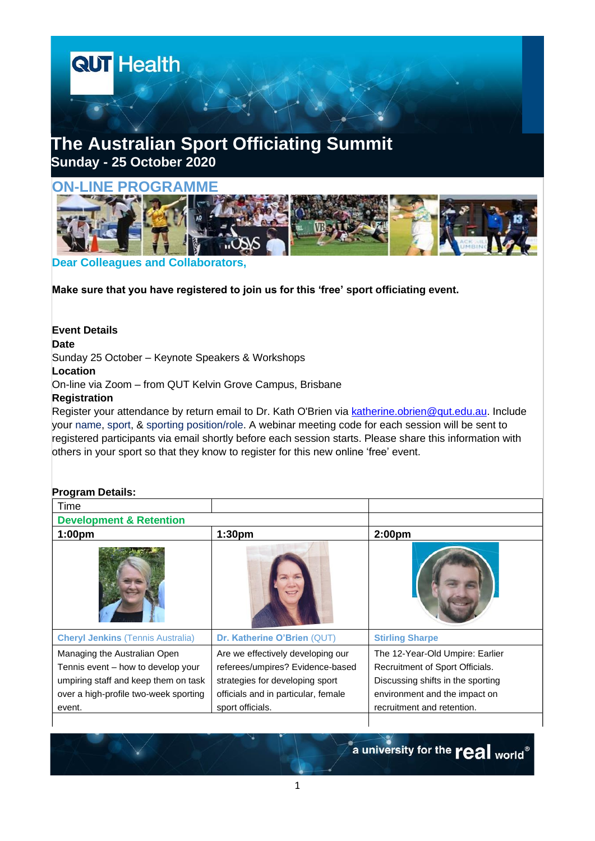



**Dear Colleagues and Collaborators,**

**Make sure that you have registered to join us for this 'free' sport officiating event.**

**Event Details Date** Sunday 25 October – Keynote Speakers & Workshops **Location** On-line via Zoom – from QUT Kelvin Grove Campus, Brisbane **Registration**

Register your attendance by return email to Dr. Kath O'Brien via [katherine.obrien@qut.edu.au.](mailto:katherine.obrien@qut.edu.au?subject=Australian%20Sport%20Officiating%20Summit) Include your name, sport, & sporting position/role. A webinar meeting code for each session will be sent to registered participants via email shortly before each session starts. Please share this information with others in your sport so that they know to register for this new online 'free' event.

## **Program Details:**

| Time                                                                                                                                                          |                                                                                                                                                                     |                                                                                                                                                                        |
|---------------------------------------------------------------------------------------------------------------------------------------------------------------|---------------------------------------------------------------------------------------------------------------------------------------------------------------------|------------------------------------------------------------------------------------------------------------------------------------------------------------------------|
| <b>Development &amp; Retention</b>                                                                                                                            |                                                                                                                                                                     |                                                                                                                                                                        |
| 1:00 <sub>pm</sub>                                                                                                                                            | 1:30 <sub>pm</sub>                                                                                                                                                  | 2:00 <sub>pm</sub>                                                                                                                                                     |
|                                                                                                                                                               |                                                                                                                                                                     |                                                                                                                                                                        |
| <b>Cheryl Jenkins (Tennis Australia)</b>                                                                                                                      | Dr. Katherine O'Brien (QUT)                                                                                                                                         | <b>Stirling Sharpe</b>                                                                                                                                                 |
| Managing the Australian Open<br>Tennis event – how to develop your<br>umpiring staff and keep them on task<br>over a high-profile two-week sporting<br>event. | Are we effectively developing our<br>referees/umpires? Evidence-based<br>strategies for developing sport<br>officials and in particular, female<br>sport officials. | The 12-Year-Old Umpire: Earlier<br>Recruitment of Sport Officials.<br>Discussing shifts in the sporting<br>environment and the impact on<br>recruitment and retention. |
|                                                                                                                                                               |                                                                                                                                                                     |                                                                                                                                                                        |

a university for the **real** world<sup>®</sup>